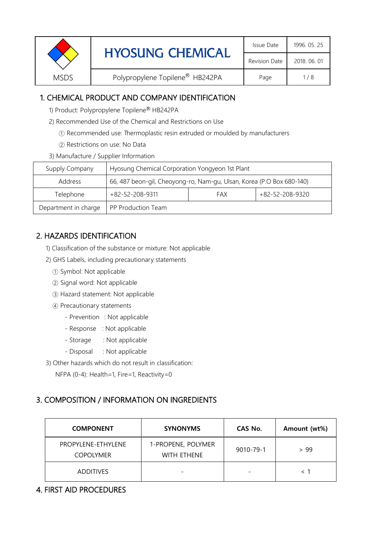| <b>Revision Date</b>                                                      |  | <b>HYOSUNG CHEMICAL</b> | Issue Date   | 1996. 05. 25 |
|---------------------------------------------------------------------------|--|-------------------------|--------------|--------------|
|                                                                           |  |                         | 2018, 06, 01 |              |
| Polypropylene Topilene <sup>®</sup> HB242PA<br><b>MSDS</b><br>1/8<br>Page |  |                         |              |              |

# 1. CHEMICAL PRODUCT AND COMPANY IDENTIFICATION

- 1) Product: Polypropylene Topilene® HB242PA
- 2) Recommended Use of the Chemical and Restrictions on Use
	- ① Recommended use: Thermoplastic resin extruded or moulded by manufacturers
	- ② Restrictions on use: No Data
- 3) Manufacture / Supplier Information

| Supply Company       | Hyosung Chemical Corporation Yongyeon 1st Plant                       |  |  |  |
|----------------------|-----------------------------------------------------------------------|--|--|--|
| Address              | 66, 487 beon-gil, Cheoyong-ro, Nam-gu, Ulsan, Korea (P.O Box 680-140) |  |  |  |
| Telephone            | +82-52-208-9320<br>$+82 - 52 - 208 - 9311$<br>FAX                     |  |  |  |
| Department in charge | PP Production Team                                                    |  |  |  |

# 2. HAZARDS IDENTIFICATION

- 1) Classification of the substance or mixture: Not applicable
- 2) GHS Labels, including precautionary statements
	- ① Symbol: Not applicable
	- ② Signal word: Not applicable
	- ③ Hazard statement: Not applicable
	- ④ Precautionary statements
		- Prevention : Not applicable
		- Response : Not applicable
		- Storage : Not applicable
		- Disposal : Not applicable
- 3) Other hazards which do not result in classification:
	- NFPA (0-4): Health=1, Fire=1, Reactivity=0

## 3. COMPOSITION / INFORMATION ON INGREDIENTS

| <b>COMPONENT</b>                       | <b>SYNONYMS</b>                   | CAS No.   | Amount (wt%) |
|----------------------------------------|-----------------------------------|-----------|--------------|
| PROPYLENE-ETHYLENE<br><b>COPOLYMER</b> | 1-PROPENE, POLYMER<br>WITH ETHENE | 9010-79-1 | > 99         |
| <b>ADDITIVES</b>                       | $\overline{\phantom{0}}$          |           |              |

## 4. FIRST AID PROCEDURES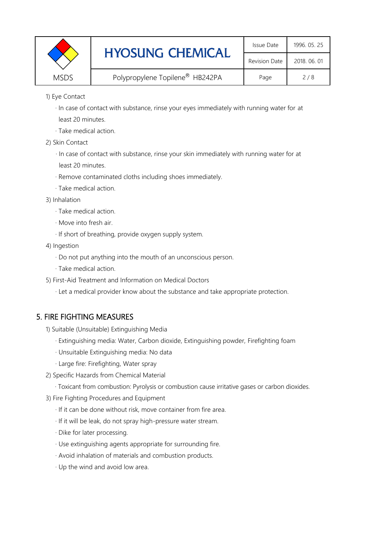|             | <b>HYOSUNG CHEMICAL</b>         | Issue Date           | 1996. 05. 25 |
|-------------|---------------------------------|----------------------|--------------|
|             |                                 | <b>Revision Date</b> | 2018, 06, 01 |
| <b>MSDS</b> | Polypropylene Topilene® HB242PA | Page                 | 2/8          |

1) Eye Contact

 · In case of contact with substance, rinse your eyes immediately with running water for at least 20 minutes.

· Take medical action.

2) Skin Contact

· In case of contact with substance, rinse your skin immediately with running water for at least 20 minutes.

- · Remove contaminated cloths including shoes immediately.
- · Take medical action.
- 3) Inhalation
	- · Take medical action.
	- · Move into fresh air.
	- · If short of breathing, provide oxygen supply system.
- 4) Ingestion
	- · Do not put anything into the mouth of an unconscious person.
	- · Take medical action.
- 5) First-Aid Treatment and Information on Medical Doctors
	- · Let a medical provider know about the substance and take appropriate protection.

# 5. FIRE FIGHTING MEASURES

- 1) Suitable (Unsuitable) Extinguishing Media
	- · Extinguishing media: Water, Carbon dioxide, Extinguishing powder, Firefighting foam
	- · Unsuitable Extinguishing media: No data
	- · Large fire: Firefighting, Water spray
- 2) Specific Hazards from Chemical Material
	- · Toxicant from combustion: Pyrolysis or combustion cause irritative gases or carbon dioxides.
- 3) Fire Fighting Procedures and Equipment
	- · If it can be done without risk, move container from fire area.
	- · If it will be leak, do not spray high-pressure water stream.
	- · Dike for later processing.
	- · Use extinguishing agents appropriate for surrounding fire.
	- · Avoid inhalation of materials and combustion products.
	- · Up the wind and avoid low area.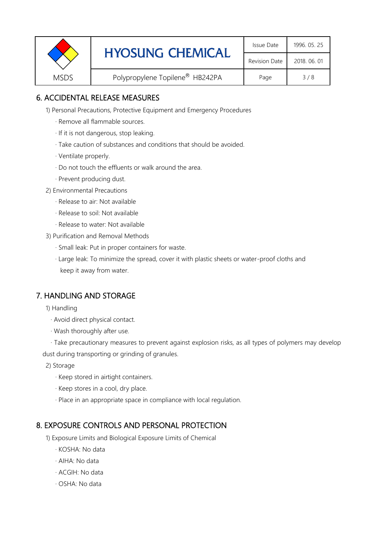|             | <b>HYOSUNG CHEMICAL</b>                     | Issue Date   | 1996. 05. 25 |
|-------------|---------------------------------------------|--------------|--------------|
|             | <b>Revision Date</b>                        | 2018, 06, 01 |              |
| <b>MSDS</b> | Polypropylene Topilene <sup>®</sup> HB242PA | Page         | 3/8          |

# 6. ACCIDENTAL RELEASE MEASURES

1) Personal Precautions, Protective Equipment and Emergency Procedures

- · Remove all flammable sources.
- · If it is not dangerous, stop leaking.
- · Take caution of substances and conditions that should be avoided.
- · Ventilate properly.
- · Do not touch the effluents or walk around the area.
- · Prevent producing dust.
- 2) Environmental Precautions
	- · Release to air: Not available
	- · Release to soil: Not available
	- · Release to water: Not available
- 3) Purification and Removal Methods
	- · Small leak: Put in proper containers for waste.
	- ,· Large leak: To minimize the spread, cover it with plastic sheets or water-proof cloths and keep it away from water.

## 7. HANDLING AND STORAGE

- 1) Handling
	- · Avoid direct physical contact.
	- · Wash thoroughly after use.
- · Take precautionary measures to prevent against explosion risks, as all types of polymers may develop dust during transporting or grinding of granules.
	- 2) Storage
		- · Keep stored in airtight containers.
		- · Keep stores in a cool, dry place.
		- · Place in an appropriate space in compliance with local regulation.

## 8. EXPOSURE CONTROLS AND PERSONAL PROTECTION

- 1) Exposure Limits and Biological Exposure Limits of Chemical
	- · KOSHA: No data
	- · AIHA: No data
	- · ACGIH: No data
	- · OSHA: No data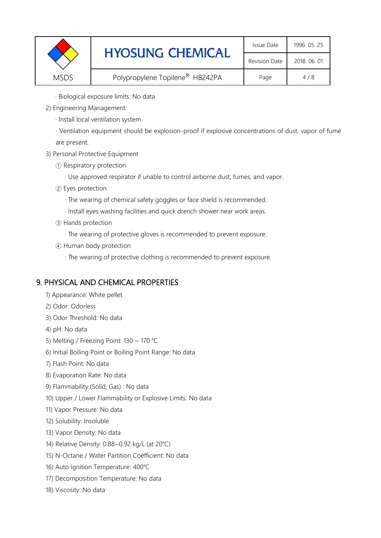|             | <b>HYOSUNG CHEMICAL</b>                     | Issue Date           | 1996. 05. 25 |
|-------------|---------------------------------------------|----------------------|--------------|
|             |                                             | <b>Revision Date</b> | 2018, 06, 01 |
| <b>MSDS</b> | Polypropylene Topilene <sup>®</sup> HB242PA | Page                 | 4/8          |

· Biological exposure limits: No data

- 2) Engineering Management
	- · Install local ventilation system.

· Ventilation equipment should be explosion-proof if explosive concentrations of dust, vapor of fume are present.

- 3) Personal Protective Equipment
	- ① Respiratory protection
		- · Use approved respirator if unable to control airborne dust, fumes, and vapor.
	- ② Eyes protection
		- · The wearing of chemical safety goggles or face shield is recommended.
		- · Install eyes washing facilities and quick drench shower near work areas.
	- ③ Hands protection
		- · The wearing of protective gloves is recommended to prevent exposure.
	- ④ Human body protection
		- · The wearing of protective clothing is recommended to prevent exposure.

## 9. PHYSICAL AND CHEMICAL PROPERTIES

- 1) Appearance: White pellet
- 2) Odor: Odorless
- 3) Odor Threshold: No data
- 4) pH: No data
- 5) Melting / Freezing Point: 130 ~ 170 ℃
- 6) Initial Boiling Point or Boiling Point Range: No data
- 7) Flash Point: No data
- 8) Evaporation Rate: No data
- 9) Flammability (Solid, Gas) : No data
- 10) Upper / Lower Flammability or Explosive Limits: No data
- 11) Vapor Pressure: No data
- 12) Solubility: Insoluble
- 13) Vapor Density: No data
- 14) Relative Density: 0.88~0.92 kg/L (at 20℃)
- 15) N-Octane / Water Partition Coefficient: No data
- 16) Auto Ignition Temperature: 400℃
- 17) Decomposition Temperature: No data
- 18) Viscosity: No data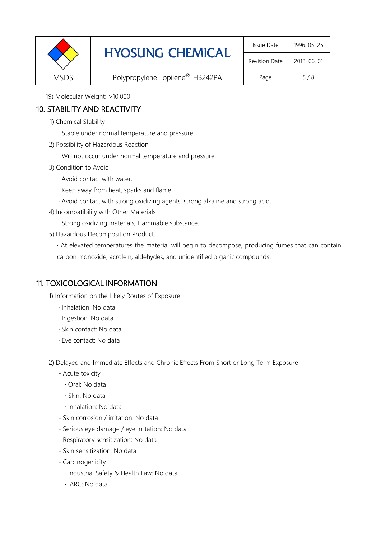|             | <b>HYOSUNG CHEMICAL</b>         | Issue Date   | 1996. 05. 25 |
|-------------|---------------------------------|--------------|--------------|
|             | <b>Revision Date</b>            | 2018, 06, 01 |              |
| <b>MSDS</b> | Polypropylene Topilene® HB242PA | Page         | 5/8          |

19) Molecular Weight: >10,000

# 10. STABILITY AND REACTIVITY

- 1) Chemical Stability
	- · Stable under normal temperature and pressure.
- 2) Possibility of Hazardous Reaction
	- · Will not occur under normal temperature and pressure.
- 3) Condition to Avoid
	- · Avoid contact with water.
	- · Keep away from heat, sparks and flame.
	- · Avoid contact with strong oxidizing agents, strong alkaline and strong acid.
- 4) Incompatibility with Other Materials
	- · Strong oxidizing materials, Flammable substance.
- 5) Hazardous Decomposition Product

· At elevated temperatures the material will begin to decompose, producing fumes that can contain carbon monoxide, acrolein, aldehydes, and unidentified organic compounds.

# 11. TOXICOLOGICAL INFORMATION

1) Information on the Likely Routes of Exposure

- · Inhalation: No data
- · Ingestion: No data
- · Skin contact: No data
- · Eye contact: No data

2) Delayed and Immediate Effects and Chronic Effects From Short or Long Term Exposure

- Acute toxicity
	- · Oral: No data
	- · Skin: No data
	- · Inhalation: No data
- Skin corrosion / irritation: No data
- Serious eye damage / eye irritation: No data
- Respiratory sensitization: No data
- Skin sensitization: No data
- Carcinogenicity
	- · Industrial Safety & Health Law: No data
	- · IARC: No data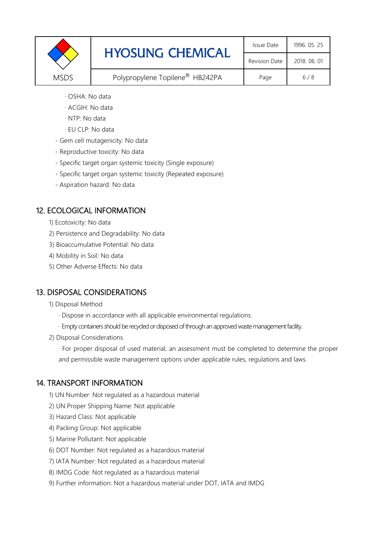|             | <b>HYOSUNG CHEMICAL</b>         | Issue Date   | 1996. 05. 25 |
|-------------|---------------------------------|--------------|--------------|
|             | <b>Revision Date</b>            | 2018, 06, 01 |              |
| <b>MSDS</b> | Polypropylene Topilene® HB242PA | Page         | 6/8          |

- · OSHA: No data
- · ACGIH: No data
- · NTP: No data
- · EU CLP: No data
- Gem cell mutagenicity: No data
- Reproductive toxicity: No data
- Specific target organ systemic toxicity (Single exposure)
- Specific target organ systemic toxicity (Repeated exposure)
- Aspiration hazard: No data

# 12. ECOLOGICAL INFORMATION

- 1) Ecotoxicity: No data
- 2) Persistence and Degradability: No data
- 3) Bioaccumulative Potential: No data
- 4) Mobility in Soil: No data
- 5) Other Adverse Effects: No data

## 13. DISPOSAL CONSIDERATIONS

#### 1) Disposal Method

- · Dispose in accordance with all applicable environmental regulations.
- · Empty containers should be recycled or disposed of through an approved waste management facility.
- 2) Disposal Considerations

· For proper disposal of used material, an assessment must be completed to determine the proper and permissible waste management options under applicable rules, regulations and laws.

## 14. TRANSPORT INFORMATION

- 1) UN Number: Not regulated as a hazardous material
- 2) UN Proper Shipping Name: Not applicable
- 3) Hazard Class: Not applicable
- 4) Packing Group: Not applicable
- 5) Marine Pollutant: Not applicable
- 6) DOT Number: Not regulated as a hazardous material
- 7) IATA Number: Not regulated as a hazardous material
- 8) IMDG Code: Not regulated as a hazardous material
- 9) Further information: Not a hazardous material under DOT, IATA and IMDG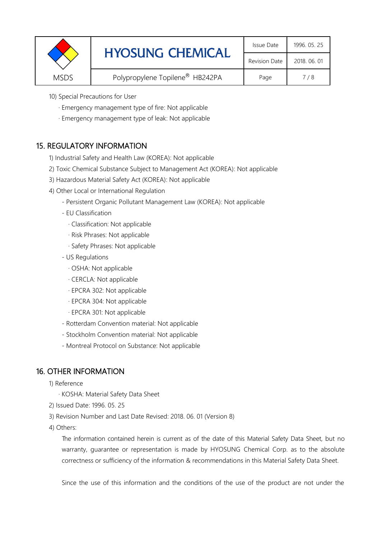|             | <b>HYOSUNG CHEMICAL</b>         | Issue Date    | 1996. 05. 25 |
|-------------|---------------------------------|---------------|--------------|
|             |                                 | Revision Date | 2018, 06, 01 |
| <b>MSDS</b> | Polypropylene Topilene® HB242PA | Page          | 7/8          |

- 10) Special Precautions for User
	- · Emergency management type of fire: Not applicable
	- · Emergency management type of leak: Not applicable

## 15. REGULATORY INFORMATION

- 1) Industrial Safety and Health Law (KOREA): Not applicable
- 2) Toxic Chemical Substance Subject to Management Act (KOREA): Not applicable
- 3) Hazardous Material Safety Act (KOREA): Not applicable
- 4) Other Local or International Regulation
	- Persistent Organic Pollutant Management Law (KOREA): Not applicable
	- EU Classification
		- · Classification: Not applicable
		- · Risk Phrases: Not applicable
		- · Safety Phrases: Not applicable
	- US Regulations
		- · OSHA: Not applicable
		- · CERCLA: Not applicable
		- · EPCRA 302: Not applicable
		- · EPCRA 304: Not applicable
		- · EPCRA 301: Not applicable
	- Rotterdam Convention material: Not applicable
	- Stockholm Convention material: Not applicable
	- Montreal Protocol on Substance: Not applicable

## 16. OTHER INFORMATION

- 1) Reference
	- · KOSHA: Material Safety Data Sheet
- 2) Issued Date: 1996. 05. 25
- 3) Revision Number and Last Date Revised: 2018. 06. 01 (Version 8)
- 4) Others:

The information contained herein is current as of the date of this Material Safety Data Sheet, but no warranty, guarantee or representation is made by HYOSUNG Chemical Corp. as to the absolute correctness or sufficiency of the information & recommendations in this Material Safety Data Sheet.

Since the use of this information and the conditions of the use of the product are not under the